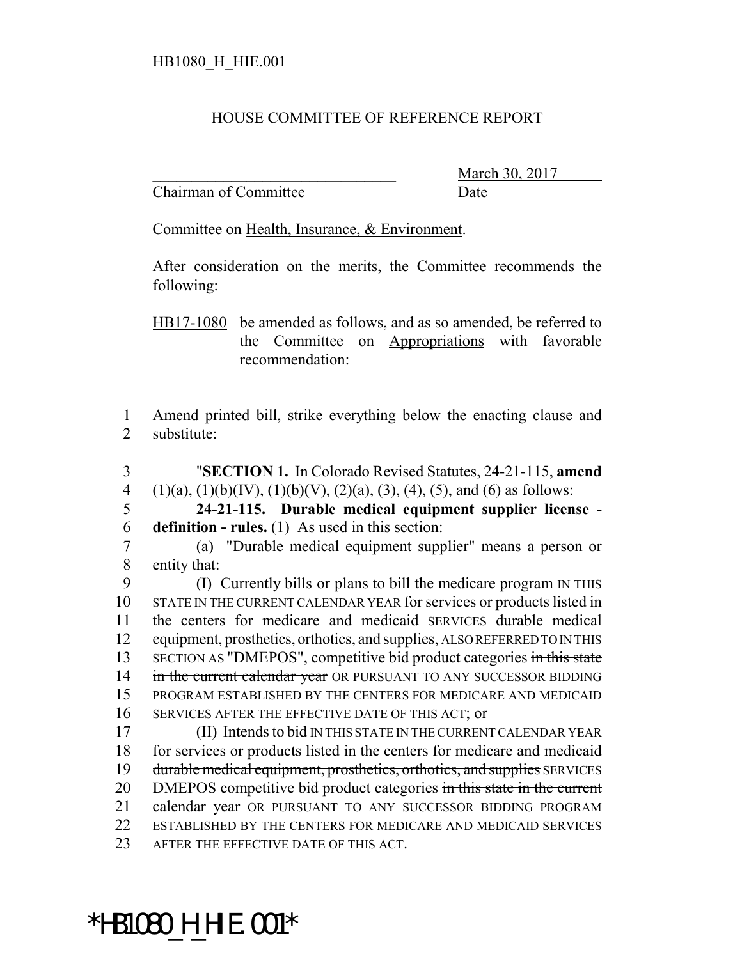## HOUSE COMMITTEE OF REFERENCE REPORT

Chairman of Committee Date

March 30, 2017

Committee on Health, Insurance, & Environment.

After consideration on the merits, the Committee recommends the following:

HB17-1080 be amended as follows, and as so amended, be referred to the Committee on Appropriations with favorable recommendation:

1 Amend printed bill, strike everything below the enacting clause and 2 substitute:

- 3 "**SECTION 1.** In Colorado Revised Statutes, 24-21-115, **amend** 4 (1)(a), (1)(b)(IV), (1)(b)(V), (2)(a), (3), (4), (5), and (6) as follows:
- 5 **24-21-115. Durable medical equipment supplier license -** 6 **definition - rules.** (1) As used in this section:
- 7 (a) "Durable medical equipment supplier" means a person or 8 entity that:

 (I) Currently bills or plans to bill the medicare program IN THIS STATE IN THE CURRENT CALENDAR YEAR for services or products listed in the centers for medicare and medicaid SERVICES durable medical equipment, prosthetics, orthotics, and supplies, ALSO REFERRED TO IN THIS 13 SECTION AS "DMEPOS", competitive bid product categories in this state 14 in the current calendar year OR PURSUANT TO ANY SUCCESSOR BIDDING PROGRAM ESTABLISHED BY THE CENTERS FOR MEDICARE AND MEDICAID SERVICES AFTER THE EFFECTIVE DATE OF THIS ACT; or

17 (II) Intends to bid IN THIS STATE IN THE CURRENT CALENDAR YEAR 18 for services or products listed in the centers for medicare and medicaid 19 durable medical equipment, prosthetics, orthotics, and supplies SERVICES 20 DMEPOS competitive bid product categories in this state in the current 21 calendar year OR PURSUANT TO ANY SUCCESSOR BIDDING PROGRAM 22 ESTABLISHED BY THE CENTERS FOR MEDICARE AND MEDICAID SERVICES 23 AFTER THE EFFECTIVE DATE OF THIS ACT.

## \*HB1080\_H\_HIE.001\*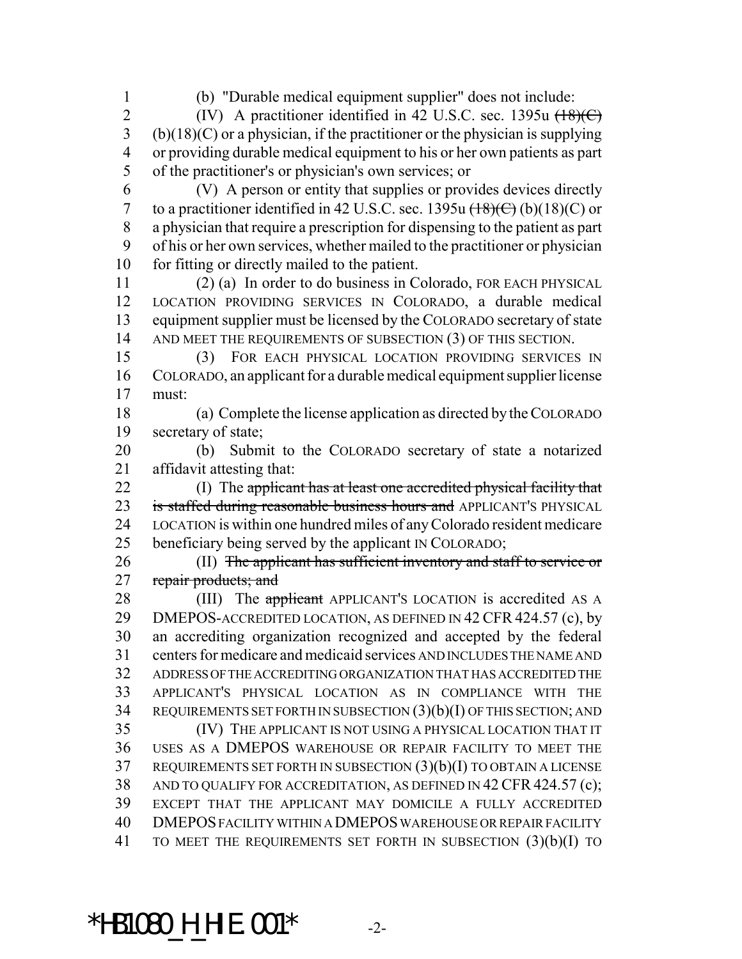(b) "Durable medical equipment supplier" does not include:

2 (IV) A practitioner identified in 42 U.S.C. sec. 1395u (18)(C) (b)(18)(C) or a physician, if the practitioner or the physician is supplying or providing durable medical equipment to his or her own patients as part of the practitioner's or physician's own services; or

 (V) A person or entity that supplies or provides devices directly 7 to a practitioner identified in 42 U.S.C. sec. 1395u  $\left(\frac{18}{\text{C}}\right)$  (b)(18)(C) or a physician that require a prescription for dispensing to the patient as part of his or her own services, whether mailed to the practitioner or physician for fitting or directly mailed to the patient.

 (2) (a) In order to do business in Colorado, FOR EACH PHYSICAL LOCATION PROVIDING SERVICES IN COLORADO, a durable medical equipment supplier must be licensed by the COLORADO secretary of state 14 AND MEET THE REQUIREMENTS OF SUBSECTION (3) OF THIS SECTION.

 (3) FOR EACH PHYSICAL LOCATION PROVIDING SERVICES IN COLORADO, an applicant for a durable medical equipment supplier license must:

 (a) Complete the license application as directed by the COLORADO secretary of state;

 (b) Submit to the COLORADO secretary of state a notarized affidavit attesting that:

 (I) The applicant has at least one accredited physical facility that 23 is staffed during reasonable business hours and APPLICANT'S PHYSICAL LOCATION is within one hundred miles of any Colorado resident medicare beneficiary being served by the applicant IN COLORADO;

 (II) The applicant has sufficient inventory and staff to service or 27 repair products; and

28 (III) The applicant APPLICANT'S LOCATION is accredited AS A 29 DMEPOS-ACCREDITED LOCATION, AS DEFINED IN 42 CFR 424.57 (c), by an accrediting organization recognized and accepted by the federal centers for medicare and medicaid services AND INCLUDES THE NAME AND ADDRESS OF THE ACCREDITING ORGANIZATION THAT HAS ACCREDITED THE APPLICANT'S PHYSICAL LOCATION AS IN COMPLIANCE WITH THE REQUIREMENTS SET FORTH IN SUBSECTION (3)(b)(I) OF THIS SECTION; AND (IV) THE APPLICANT IS NOT USING A PHYSICAL LOCATION THAT IT USES AS A DMEPOS WAREHOUSE OR REPAIR FACILITY TO MEET THE REQUIREMENTS SET FORTH IN SUBSECTION (3)(b)(I) TO OBTAIN A LICENSE 38 AND TO QUALIFY FOR ACCREDITATION, AS DEFINED IN 42 CFR 424.57 (c); EXCEPT THAT THE APPLICANT MAY DOMICILE A FULLY ACCREDITED DMEPOS FACILITY WITHIN A DMEPOS WAREHOUSE OR REPAIR FACILITY TO MEET THE REQUIREMENTS SET FORTH IN SUBSECTION (3)(b)(I) TO

## \*HB1080\_H\_HIE.001\* -2-